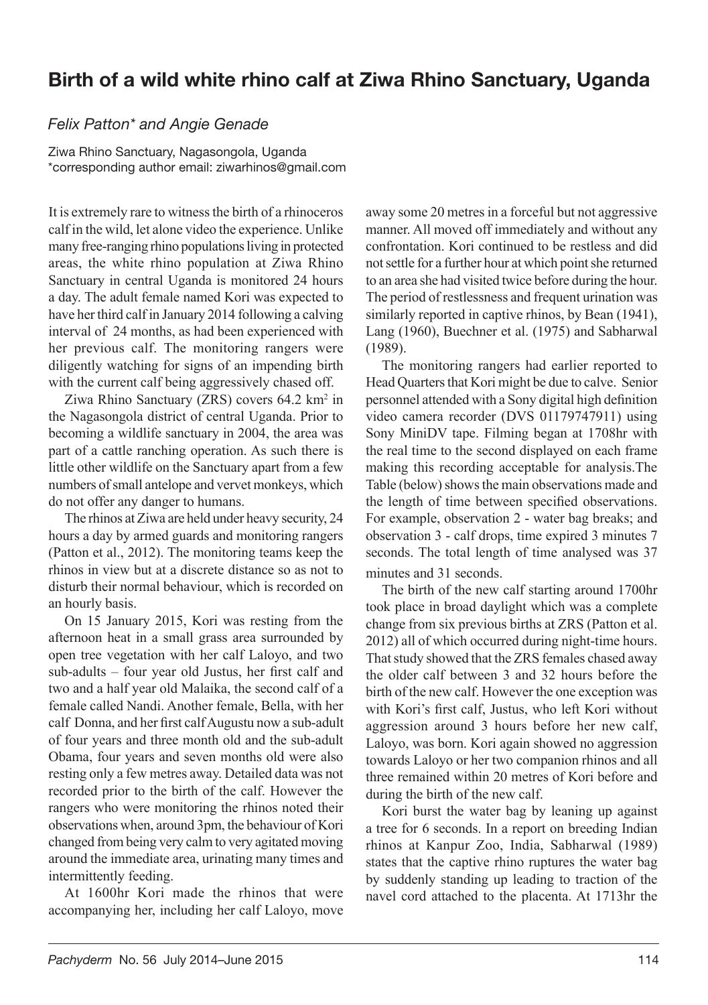## Birth of a wild white rhino calf at Ziwa Rhino Sanctuary, Uganda

## Felix Patton\* and Angie Genade

Ziwa Rhino Sanctuary, Nagasongola, Uganda \*corresponding author email: ziwarhinos@gmail.com

It is extremely rare to witness the birth of a rhinoceros calf in the wild, let alone video the experience. Unlike many free-ranging rhino populations living in protected areas, the white rhino population at Ziwa Rhino Sanctuary in central Uganda is monitored 24 hours a day. The adult female named Kori was expected to have her third calf in January 2014 following a calving interval of 24 months, as had been experienced with her previous calf. The monitoring rangers were diligently watching for signs of an impending birth with the current calf being aggressively chased off.

Ziwa Rhino Sanctuary (ZRS) covers 64.2 km<sup>2</sup> in the Nagasongola district of central Uganda. Prior to becoming a wildlife sanctuary in 2004, the area was part of a cattle ranching operation. As such there is little other wildlife on the Sanctuary apart from a few numbers of small antelope and vervet monkeys, which do not offer any danger to humans.

The rhinos at Ziwa are held under heavy security, 24 hours a day by armed guards and monitoring rangers (Patton et al., 2012). The monitoring teams keep the rhinos in view but at a discrete distance so as not to disturb their normal behaviour, which is recorded on an hourly basis.

On 15 January 2015, Kori was resting from the afternoon heat in a small grass area surrounded by open tree vegetation with her calf Laloyo, and two  $sub-adults$  – four year old Justus, her first calf and two and a half year old Malaika, the second calf of a female called Nandi. Another female, Bella, with her calf Donna, and her first calf Augustu now a sub-adult of four years and three month old and the sub-adult Obama, four years and seven months old were also resting only a few metres away. Detailed data was not recorded prior to the birth of the calf. However the rangers who were monitoring the rhinos noted their observations when, around 3pm, the behaviour of Kori changed from being very calm to very agitated moving around the immediate area, urinating many times and intermittently feeding.

At 1600hr Kori made the rhinos that were accompanying her, including her calf Laloyo, move

away some 20 metres in a forceful but not aggressive manner. All moved off immediately and without any confrontation. Kori continued to be restless and did not settle for a further hour at which point she returned to an area she had visited twice before during the hour. The period of restlessness and frequent urination was similarly reported in captive rhinos, by Bean (1941), Lang (1960), Buechner et al. (1975) and Sabharwal (1989).

The monitoring rangers had earlier reported to Head Quarters that Kori might be due to calve. Senior personnel attended with a Sony digital high definition video camera recorder (DVS 01179747911) using Sony MiniDV tape. Filming began at 1708hr with the real time to the second displayed on each frame making this recording acceptable for analysis.The Table (below) shows the main observations made and the length of time between specified observations. For example, observation 2 - water bag breaks; and observation 3 - calf drops, time expired 3 minutes 7 seconds. The total length of time analysed was 37 minutes and 31 seconds.

The birth of the new calf starting around 1700hr took place in broad daylight which was a complete change from six previous births at ZRS (Patton et al. 2012) all of which occurred during night-time hours. That study showed that the ZRS females chased away the older calf between 3 and 32 hours before the birth of the new calf. However the one exception was with Kori's first calf, Justus, who left Kori without aggression around 3 hours before her new calf, Laloyo, was born. Kori again showed no aggression towards Laloyo or her two companion rhinos and all three remained within 20 metres of Kori before and during the birth of the new calf.

Kori burst the water bag by leaning up against a tree for 6 seconds. In a report on breeding Indian rhinos at Kanpur Zoo, India, Sabharwal (1989) states that the captive rhino ruptures the water bag by suddenly standing up leading to traction of the navel cord attached to the placenta. At 1713hr the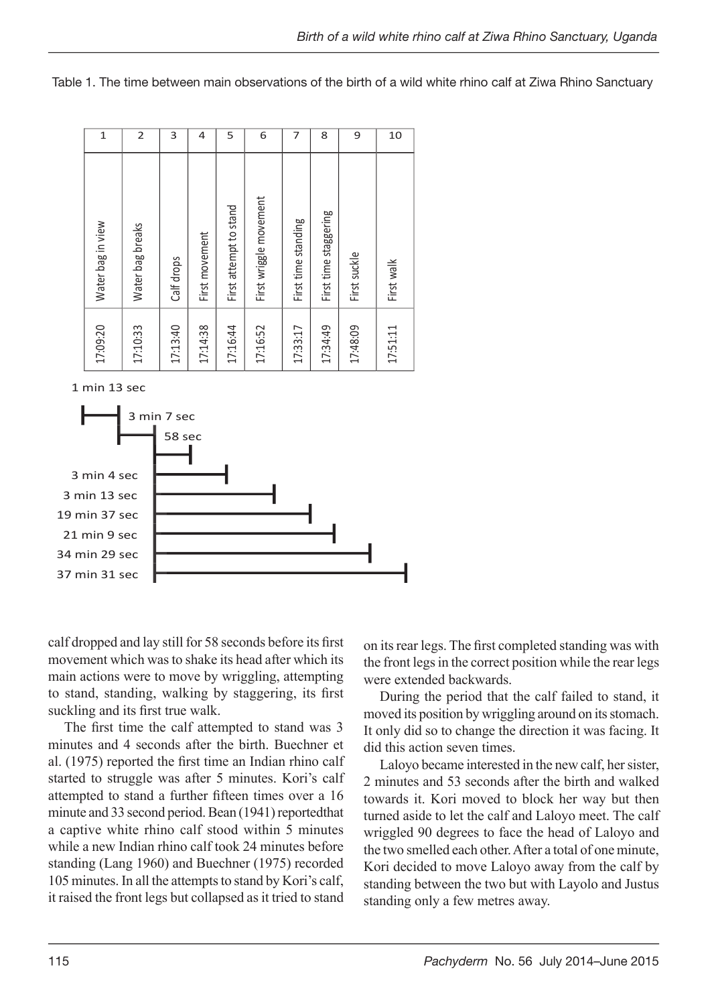Table 1. The time between main observations of the birth of a wild white rhino calf at Ziwa Rhino Sanctuary

| 17:09:20 | Water bag in view      | $\mathbf{1}$ |
|----------|------------------------|--------------|
| 17:10:33 | Water bag breaks       | 2            |
| 17:13:40 | Calf drops             | 3            |
| 17:14:38 | First movement         | 4            |
| 17:16:44 | First attempt to stand | 5            |
| 17:16:52 | First wriggle movement | 6            |
| 17:33:17 | First time standing    | 7            |
| 17:34:49 | First time staggering  | 8            |
| 17:48:09 | First suckle           | 9            |
| 17:51:11 | First walk             | 10           |
|          |                        |              |

1 min 13 sec



calf dropped and lay still for 58 seconds before its first movement which was to shake its head after which its main actions were to move by wriggling, attempting to stand, standing, walking by staggering, its first suckling and its first true walk.

The first time the calf attempted to stand was 3 minutes and 4 seconds after the birth. Buechner et al. (1975) reported the first time an Indian rhino calf started to struggle was after 5 minutes. Kori's calf attempted to stand a further fifteen times over a 16 minute and 33 second period. Bean (1941) reportedthat a captive white rhino calf stood within 5 minutes while a new Indian rhino calf took 24 minutes before standing (Lang 1960) and Buechner (1975) recorded 105 minutes. In all the attempts to stand by Kori's calf, it raised the front legs but collapsed as it tried to stand

on its rear legs. The first completed standing was with the front legs in the correct position while the rear legs were extended backwards.

During the period that the calf failed to stand, it moved its position by wriggling around on its stomach. It only did so to change the direction it was facing. It did this action seven times.

Laloyo became interested in the new calf, her sister, 2 minutes and 53 seconds after the birth and walked towards it. Kori moved to block her way but then turned aside to let the calf and Laloyo meet. The calf wriggled 90 degrees to face the head of Laloyo and the two smelled each other. After a total of one minute, Kori decided to move Laloyo away from the calf by standing between the two but with Layolo and Justus standing only a few metres away.